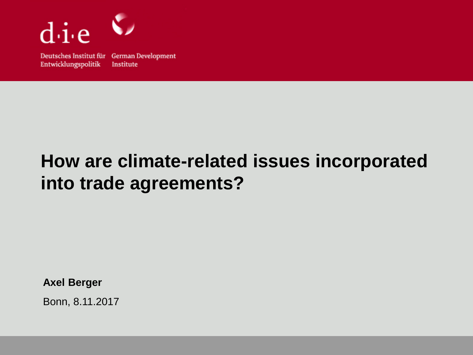

Deutsches Institut für German Development Entwicklungspolitik Institute

### **How are climate-related issues incorporated into trade agreements?**

**Axel Berger**

Bonn, 8.11.2017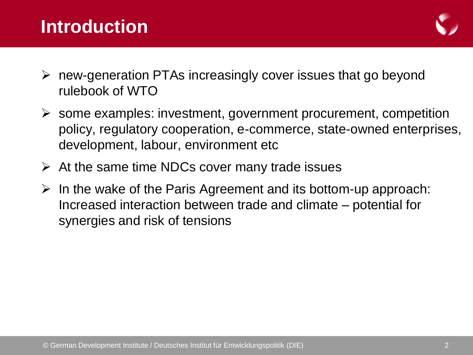### **Introduction**



- new-generation PTAs increasingly cover issues that go beyond rulebook of WTO
- $\triangleright$  some examples: investment, government procurement, competition policy, regulatory cooperation, e-commerce, state-owned enterprises, development, labour, environment etc
- $\triangleright$  At the same time NDCs cover many trade issues
- $\triangleright$  In the wake of the Paris Agreement and its bottom-up approach: Increased interaction between trade and climate – potential for synergies and risk of tensions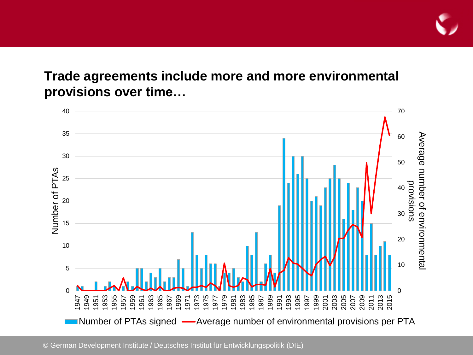

#### **Trade agreements include more and more environmental provisions over time…**

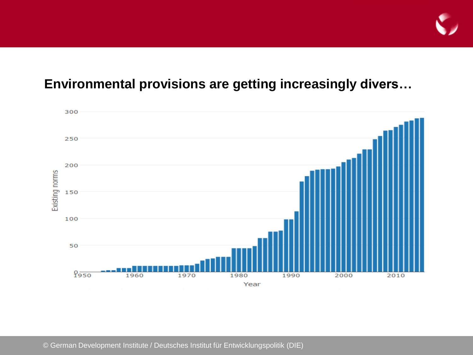

#### **Environmental provisions are getting increasingly divers…**



© German Development Institute / Deutsches Institut für Entwicklungspolitik (DIE)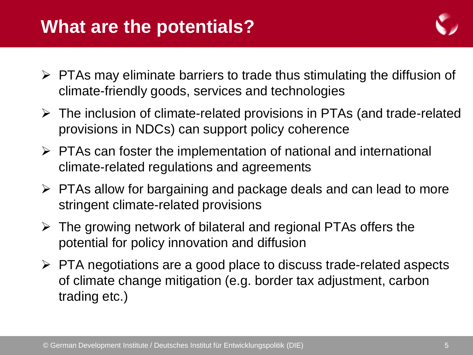

- $\triangleright$  PTAs may eliminate barriers to trade thus stimulating the diffusion of climate-friendly goods, services and technologies
- $\triangleright$  The inclusion of climate-related provisions in PTAs (and trade-related provisions in NDCs) can support policy coherence
- $\triangleright$  PTAs can foster the implementation of national and international climate-related regulations and agreements
- $\triangleright$  PTAs allow for bargaining and package deals and can lead to more stringent climate-related provisions
- $\triangleright$  The growing network of bilateral and regional PTAs offers the potential for policy innovation and diffusion
- $\triangleright$  PTA negotiations are a good place to discuss trade-related aspects of climate change mitigation (e.g. border tax adjustment, carbon trading etc.)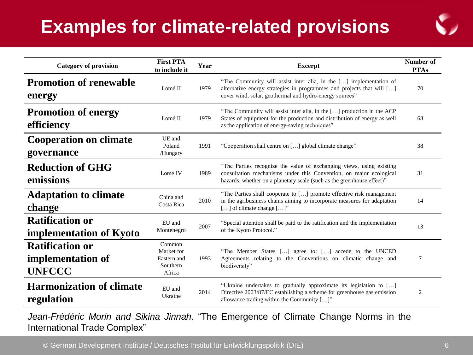### **Examples for climate-related provisions**



| <b>Category of provision</b>                                 | <b>First PTA</b><br>to include it                         | Year | <b>Excerpt</b>                                                                                                                                                                                                       | Number of<br><b>PTAs</b> |
|--------------------------------------------------------------|-----------------------------------------------------------|------|----------------------------------------------------------------------------------------------------------------------------------------------------------------------------------------------------------------------|--------------------------|
| <b>Promotion of renewable</b><br>energy                      | Lomé II                                                   | 1979 | "The Community will assist inter alia, in the [] implementation of<br>alternative energy strategies in programmes and projects that will []<br>cover wind, solar, geothermal and hydro-energy sources"               | 70                       |
| <b>Promotion of energy</b><br>efficiency                     | Lomé II                                                   | 1979 | "The Community will assist inter alia, in the [] production in the ACP<br>States of equipment for the production and distribution of energy as well<br>as the application of energy-saving techniques"               | 68                       |
| <b>Cooperation on climate</b><br>governance                  | UE and<br>Poland<br>/Hungary                              | 1991 | "Cooperation shall centre on [] global climate change"                                                                                                                                                               | 38                       |
| <b>Reduction of GHG</b><br>emissions                         | Lomé IV                                                   | 1989 | "The Parties recognize the value of exchanging views, using existing<br>consultation mechanisms under this Convention, on major ecological<br>hazards, whether on a planetary scale (such as the greenhouse effect)" | 31                       |
| <b>Adaptation to climate</b><br>change                       | China and<br>Costa Rica                                   | 2010 | "The Parties shall cooperate to [] promote effective risk management<br>in the agribusiness chains aiming to incorporate measures for adaptation<br>$[]$ of climate change $[]$ "                                    | 14                       |
| <b>Ratification or</b><br>implementation of Kyoto            | EU and<br>Montenegro                                      | 2007 | "Special attention shall be paid to the ratification and the implementation<br>of the Kyoto Protocol."                                                                                                               | 13                       |
| <b>Ratification or</b><br>implementation of<br><b>UNFCCC</b> | Common<br>Market for<br>Eastern and<br>Southern<br>Africa | 1993 | "The Member States [] agree to: [] accede to the UNCED<br>Agreements relating to the Conventions on climatic change and<br>biodiversity"                                                                             | 7                        |
| <b>Harmonization of climate</b><br>regulation                | EU and<br>Ukraine                                         | 2014 | "Ukraine undertakes to gradually approximate its legislation to []<br>Directive 2003/87/EC establishing a scheme for greenhouse gas emission<br>allowance trading within the Community []"                           | 2                        |

*Jean-Frédéric Morin and Sikina Jinnah,* "The Emergence of Climate Change Norms in the International Trade Complex"

© German Development Institute / Deutsches Institut für Entwicklungspolitik (DIE)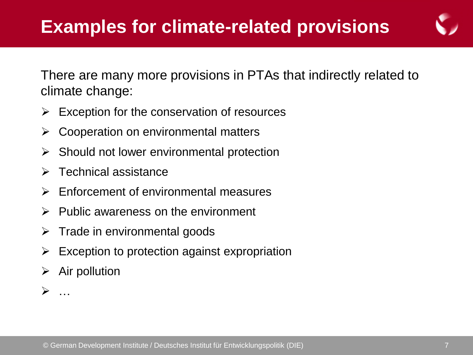

There are many more provisions in PTAs that indirectly related to climate change:

- $\triangleright$  Exception for the conservation of resources
- $\triangleright$  Cooperation on environmental matters
- $\triangleright$  Should not lower environmental protection
- $\triangleright$  Technical assistance
- $\triangleright$  Enforcement of environmental measures
- $\triangleright$  Public awareness on the environment
- $\triangleright$  Trade in environmental goods
- $\triangleright$  Exception to protection against expropriation
- $\triangleright$  Air pollution

…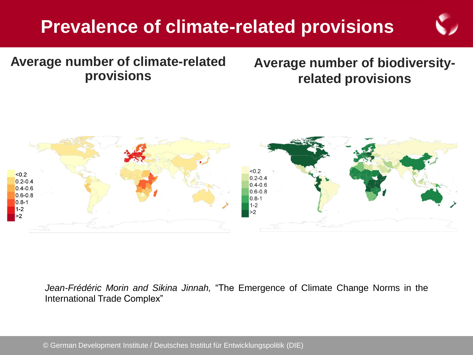### **Prevalence of climate-related provisions**



#### **Average number of climate-related provisions**

#### **Average number of biodiversityrelated provisions**



*Jean-Frédéric Morin and Sikina Jinnah,* "The Emergence of Climate Change Norms in the International Trade Complex"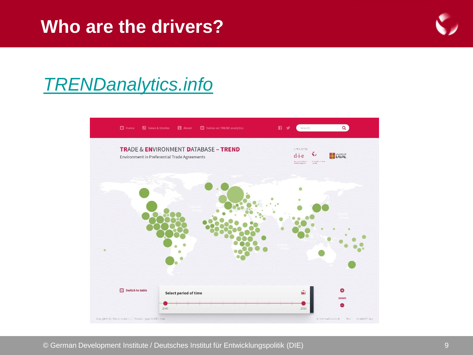### **Who are the drivers?**



### *[TRENDanalytics.info](http://klimalog.die-gdi.de/trend/table.html)*

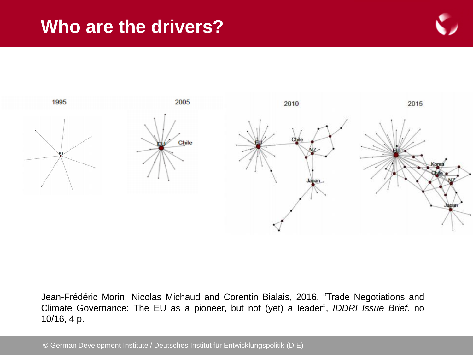### **Who are the drivers?**





Jean-Frédéric Morin, Nicolas Michaud and Corentin Bialais, 2016, "Trade Negotiations and Climate Governance: The EU as a pioneer, but not (yet) a leader", *IDDRI Issue Brief,* no 10/16, 4 p.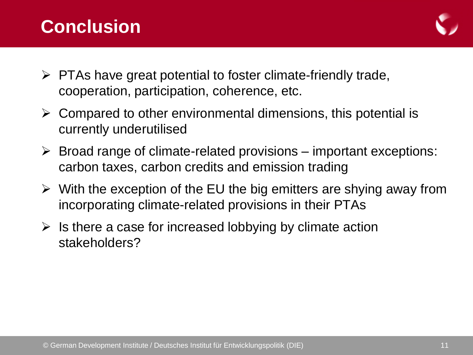### **Conclusion**



- $\triangleright$  PTAs have great potential to foster climate-friendly trade, cooperation, participation, coherence, etc.
- $\triangleright$  Compared to other environmental dimensions, this potential is currently underutilised
- $\triangleright$  Broad range of climate-related provisions important exceptions: carbon taxes, carbon credits and emission trading
- $\triangleright$  With the exception of the EU the big emitters are shying away from incorporating climate-related provisions in their PTAs
- $\triangleright$  Is there a case for increased lobbying by climate action stakeholders?